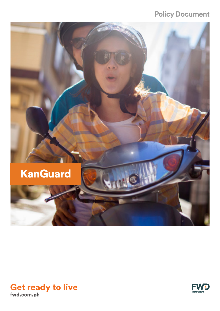## **Policy Document**





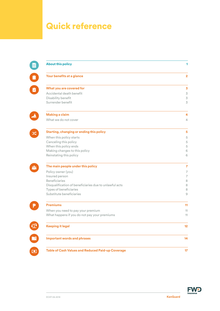# Quick reference

| <b>About this policy</b>                               |                          |
|--------------------------------------------------------|--------------------------|
| Your benefits at a glance                              | $\overline{\mathbf{2}}$  |
| What you are covered for                               | $\overline{\mathbf{3}}$  |
| Accidental death benefit                               | $\preceq$                |
| Disability benefit                                     | $\overline{\mathcal{S}}$ |
| Surrender benefit                                      | 3                        |
| <b>Making a claim</b>                                  | 4                        |
| What we do not cover                                   | 4                        |
| <b>Starting, changing or ending this policy</b>        | 5                        |
| When this policy starts                                | $\,$ 5 $\,$              |
| Canceling this policy                                  | $\,$ 5 $\,$              |
| When this policy ends                                  | $\,$ 5 $\,$              |
| Making changes to this policy                          | 6                        |
| Reinstating this policy                                | 6                        |
| The main people under this policy                      | $\overline{7}$           |
| Policy owner (you)                                     | $\overline{7}$           |
| Insured person                                         | $\overline{7}$           |
| <b>Beneficiaries</b>                                   | 8                        |
| Disqualification of beneficiaries due to unlawful acts | 8                        |
| Types of beneficiaries<br>Substitute beneficiaries     | 8<br>$\mathcal{Q}$       |
| <b>Premiums</b>                                        | 11                       |
| When you need to pay your premium                      | 11                       |
| What happens if you do not pay your premiums           | 11                       |
| <b>Keeping it legal</b>                                | 12                       |
| <b>Important words and phrases</b>                     | 14                       |
| Table of Cash Values and Reduced Paid-up Coverage      | 17                       |

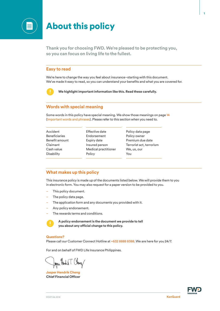

## About this policy

**Thank you for choosing FWD. We're pleased to be protecting you, so you can focus on living life to the fullest.** 

## **Easy to read**

We're here to change the way you feel about insurance–starting with this document. We've made it easy to read, so you can understand your benefits and what you are covered for.



 **We highlight important information like this. Read these carefully.**

## **Words with special meaning**

Some words in this policy have special meaning. We show those meanings on page 14 (Important words and phrases). Please refer to this section when you need to.

Accident Beneficiaries Benefit amount Claimant Cash value **Disability** 

Effective date Endorsement Expiry date Insured person Medical practitioner Policy

Policy data page Policy owner Premium due date Terrorist act, terrorism We, us, our You

## **What makes up this policy**

This insurance policy is made up of the documents listed below. We will provide them to you in electronic form. You may also request for a paper version to be provided to you.

- This policy document.
- The policy data page.
- The application form and any documents you provided with it.
- Any policy endorsement.
- The rewards terms and conditions.



 **A policy endorsement is the document we provide to tell you about any official change to this policy.** 

#### **Questions?**

Please call our Customer Connect Hotline at +632 8888 8388. We are here for you 24/7.

For and on behalf of FWD Life Insurance Philippines.

Japen Hendrik T. Cheney

**Jasper Hendrik Cheng Chief Financial Officer**

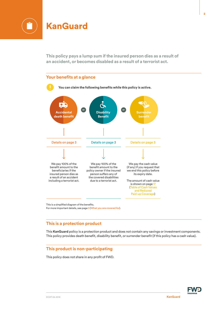

**This policy pays a lump sum if the insured person dies as a result of an accident, or becomes disabled as a result of a terrorist act.**



This is a simplified diagram of the benefits. For more important details, see page 3 (What you are covered for).

## **This is a protection product**

This **KanGuard** policy is a protection product and does not contain any savings or investment components. This policy provides death benefit, disability benefit, or surrender benefit (if this policy has a cash value).

## **This product is non-participating**

This policy does not share in any profit of FWD.

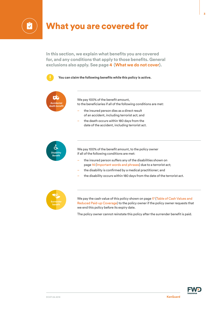

## What you are covered for

**In this section, we explain what benefits you are covered for, and any conditions that apply to those benefits. General exclusions also apply. See page 4 (What we do not cover).** 

**You can claim the following benefits while this policy is active.**



We pay 100% of the benefit amount, to the beneficiaries if all of the following conditions are met:

- the insured person dies as a direct result of an accident, including terrorist act; and
- the death occurs within 180 days from the date of the accident, including terrorist act.



We pay 100% of the benefit amount, to the policy owner if all of the following conditions are met:

- the insured person suffers any of the disabilities shown on page 14 (Important words and phrases) due to a terrorist act;
- the disability is confirmed by a medical practitioner; and
- the disability occurs within 180 days from the date of the terrorist act.



We pay the cash value of this policy shown on page 17 (Table of Cash Values and Reduced Paid-up Coverage) to the policy owner if the policy owner requests that we end this policy before its expiry date.

The policy owner cannot reinstate this policy after the surrender benefit is paid.

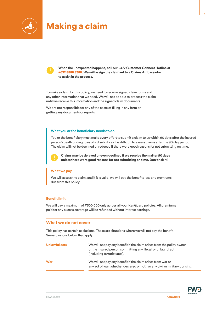

## Making a claim



**When the unexpected happens, call our 24/7 Customer Connect Hotline at +632 8888 8388. We will assign the claimant to a Claims Ambassador to assist in the process.**

To make a claim for this policy, we need to receive signed claim forms and any other information that we need. We will not be able to process the claim until we receive this information and the signed claim documents.

We are not responsible for any of the costs of filling in any form or getting any documents or reports

#### **What you or the beneficiary needs to do**

You or the beneficiary must make every effort to submit a claim to us within 90 days after the insured person's death or diagnosis of a disability as it is difficult to assess claims after the 90-day period. The claim will not be declined or reduced if there were good reasons for not submitting on time.



 **Claims may be delayed or even declined if we receive them after 90 days unless there were good reasons for not submitting on time. Don't risk it!** 

#### **What we pay**

We will assess the claim, and if it is valid, we will pay the benefits less any premiums due from this policy.

### **Benefit limit**

We will pay a maximum of ₱500,000 only across all your KanGuard policies. All premiums paid for any excess coverage will be refunded without interest earnings.

### **What we do not cover**

This policy has certain exclusions. These are situations where we will not pay the benefit. See exclusions below that apply.

| Unlawful acts | We will not pay any benefit if the claim arises from the policy owner<br>or the insured person committing any illegal or unlawful act<br>(including terrorist acts). |  |
|---------------|----------------------------------------------------------------------------------------------------------------------------------------------------------------------|--|
| <b>War</b>    | We will not pay any benefit if the claim arises from war or<br>any act of war (whether declared or not), or any civil or military uprising.                          |  |

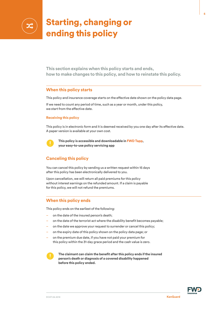

# Starting, changing or ending this policy

**This section explains when this policy starts and ends, how to make changes to this policy, and how to reinstate this policy.**

## **When this policy starts**

This policy and insurance coverage starts on the effective date shown on the policy data page.

If we need to count any period of time, such as a year or month, under this policy, we start from the effective date.

#### **Receiving this policy**

This policy is in electronic form and it is deemed received by you one day after its effective date. A paper version is available at your own cost.



**This policy is accessible and downloadable in FWD Tapp, your easy-to-use policy servicing app**

## **Canceling this policy**

You can cancel this policy by sending us a written request within 15 days after this policy has been electronically delivered to you.

Upon cancellation, we will return all paid premiums for this policy without interest earnings on the refunded amount. If a claim is payable for this policy, we will not refund the premiums.

## **When this policy ends**

This policy ends on the earliest of the following:

- on the date of the insured person's death;
- on the date of the terrorist act where the disability benefit becomes payable;
- on the date we approve your request to surrender or cancel this policy;
- on the expiry date of this policy shown on the policy data page; or
- on the premium due date, if you have not paid your premium for this policy within the 31-day grace period and the cash value is zero.

**The claimant can claim the benefit after this policy ends if the insured person's death or diagnosis of a covered disability happened before this policy ended.**

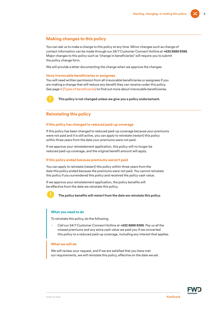## **Making changes to this policy**

You can ask us to make a change to this policy at any time. Minor changes such as change of contact information can be made through our 24/7 Customer Connect Hotline at **+632 8888 8388**. Major changes to this policy such as "change in beneficiaries" will require you to submit the policy change form.

We will provide a letter documenting the change when we approve the changes.

#### **Have irrevocable beneficiaries or assignees**

You will need written permission from all irrevocable beneficiaries or assignees if you are making a change that will reduce any benefit they can receive under this policy. See page 8 (Types of beneficiaries) to find out more about irrevocable beneficiaries.



**This policy is not changed unless we give you a policy endorsement.** 

## **Reinstating this policy**

#### **If this policy has changed to reduced paid-up coverage**

If this policy has been changed to reduced paid-up coverage because your premiums were not paid and it is still active, you can apply to reinstate (restart) this policy within three years from the date your premiums were not paid.

If we approve your reinstatement application, this policy will no longer be reduced paid-up coverage, and the original benefit amount will apply.

#### **If this policy ended because premiums weren't paid**

You can apply to reinstate (restart) this policy within three years from the date this policy ended because the premiums were not paid. You cannot reinstate this policy if you surrendered this policy and received the policy cash value.

If we approve your reinstatement application, the policy benefits will be effective from the date we reinstate this policy.



**The policy benefits will restart from the date we reinstate this policy.**

#### **What you need to do**

To reinstate this policy, do the following.

– Call our 24/7 Customer Connect Hotline at **+632 8888 8388**. Pay us all the missed premiums and any extra cash value we paid you if we converted this policy to a reduced paid-up coverage, including any interest that applies.

#### **What we will do**

We will review your request, and if we are satisfied that you have met our requirements, we will reinstate this policy, effective on the date we set.

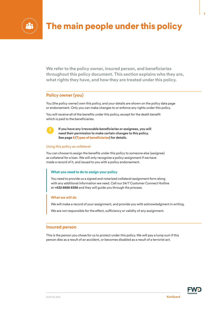

# The main people under this policy

**We refer to the policy owner, insured person, and beneficiaries throughout this policy document. This section explains who they are, what rights they have, and how they are treated under this policy.**

## **Policy owner (you)**

You (the policy owner) own this policy, and your details are shown on the policy data page or endorsement. Only you can make changes to or enforce any rights under this policy.

You will receive all of the benefits under this policy, except for the death benefit which is paid to the beneficiaries.



**If you have any irrevocable beneficiaries or assignees, you will need their permission to make certain changes to this policy. See page 8 (Types of beneficiaries) for details.**

#### Using this policy as collateral

You can choose to assign the benefits under this policy to someone else (assignee) as collateral for a loan. We will only recognize a policy assignment if we have made a record of it, and issued to you with a policy endorsement.

#### **What you need to do to assign your policy**

You need to provide us a signed and notarized collateral assignment form along with any additional information we need. Call our 24/7 Customer Connect Hotline at **+632 8888 8388** and they will guide you through the process.

#### **What we will do**

We will make a record of your assignment, and provide you with acknowledgment in writing.

We are not responsible for the effect, sufficiency or validity of any assignment.

### **Insured person**

This is the person you chose for us to protect under this policy. We will pay a lump sum if this person dies as a result of an accident, or becomes disabled as a result of a terrorist act.

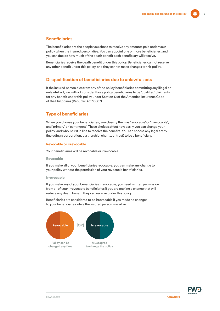## **Beneficiaries**

The beneficiaries are the people you chose to receive any amounts paid under your policy when the insured person dies. You can appoint one or more beneficiaries, and you can decide how much of the death benefit each beneficiary will receive.

Beneficiaries receive the death benefit under this policy. Beneficiaries cannot receive any other benefit under this policy, and they cannot make changes to this policy.

### **Disqualification of beneficiaries due to unlawful acts**

If the insured person dies from any of the policy beneficiaries committing any illegal or unlawful act, we will not consider those policy beneficiaries to be 'qualified' claimants for any benefit under this policy under Section 12 of the Amended Insurance Code of the Philippines (Republic Act 10607).

## **Type of beneficiaries**

When you choose your beneficiaries, you classify them as 'revocable' or 'irrevocable', and 'primary' or 'contingent'. These choices affect how easily you can change your policy, and who is first in line to receive the benefits. You can choose any legal entity (including a corporation, partnership, charity, or trust) to be a beneficiary.

#### **Revocable or irrevocable**

Your beneficiaries will be revocable or irrevocable.

#### **Revocable**

If you make all of your beneficiaries revocable, you can make any change to your policy without the permission of your revocable beneficiaries.

#### **Irrevocable**

If you make any of your beneficiaries irrevocable, you need written permission from all of your irrevocable beneficiaries if you are making a change that will reduce any death benefit they can receive under this policy.

Beneficiaries are considered to be irrevocable if you made no changes to your beneficiaries while the insured person was alive.



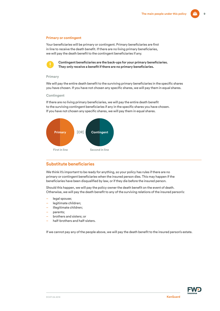#### **Primary or contingent**

Your beneficiaries will be primary or contingent. Primary beneficiaries are first in line to receive the death benefit. If there are no living primary beneficiaries, we will pay the death benefit to the contingent beneficiaries if any.



**Contingent beneficiaries are the back-ups for your primary beneficiaries. They only receive a benefit if there are no primary beneficiaries.**

#### **Primary**

We will pay the entire death benefit to the surviving primary beneficiaries in the specific shares you have chosen. If you have not chosen any specific shares, we will pay them in equal shares.

#### **Contingent**

If there are no living primary beneficiaries, we will pay the entire death benefit to the surviving contingent beneficiaries if any in the specific shares you have chosen. If you have not chosen any specific shares, we will pay them in equal shares.



## **Substitute beneficiaries**

We think it's important to be ready for anything, so your policy has rules if there are no primary or contingent beneficiaries when the insured person dies. This may happen if the beneficiaries have been disqualified by law, or if they die before the insured person.

Should this happen, we will pay the policy owner the death benefit on the event of death. Otherwise, we will pay the death benefit to any of the surviving relations of the insured person's:

- legal spouse;
- legitimate children;
- illegitimate children;
- parents;
- brothers and sisters; or
- half-brothers and half-sisters.

If we cannot pay any of the people above, we will pay the death benefit to the insured person's estate.

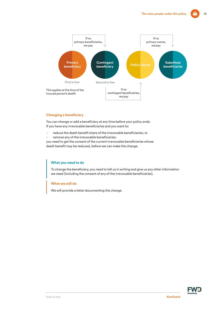

#### **Changing a beneficiary**

You can change or add a beneficiary at any time before your policy ends. If you have any irrevocable beneficiaries and you want to:

- reduce the death benefit share of the irrevocable beneficiaries; or
- remove any of the irrevocable beneficiaries;

you need to get the consent of the current irrevocable beneficiaries whose death benefit may be reduced, before we can make the change.

#### **What you need to do**

To change the beneficiary, you need to tell us in writing and give us any other information we need (including the consent of any of the irrevocable beneficiaries).

### **What we will do**

We will provide a letter documenting the change.

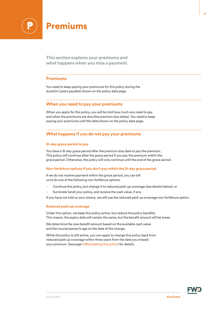

**This section explains your premiums and what happens when you miss a payment.**

## **Premiums**

You need to keep paying your premiums for this policy during the duration (years payable) shown on the policy data page.

## **When you need to pay your premiums**

When you apply for this policy, you will be told how much you need to pay and when the premiums are due (the premium due dates). You need to keep paying your premiums until the date shown on the policy data page.

## **What happens if you do not pay your premiums**

#### **31-day grace period to pay**

You have a 31-day grace period after the premium due date to pay the premium. This policy will continue after the grace period if you pay the premium within the grace period. Otherwise, the policy will only continue until the end of the grace period.

#### **Non-forfeiture options if you don't pay within the 31-day grace period**

If we do not receive payment within the grace period, you can tell us to do one of the following non-forfeiture options.

- Continue this policy, but change it to reduced paid-up coverage (see details below); or
- Surrender (end) your policy, and receive the cash value, if any.

If you have not told us your choice, we will use the reduced paid-up coverage non-forfeiture option.

#### **Reduced paid-up coverage**

Under this option, we keep this policy active, but reduce the policy benefits. This means, the expiry date will remain the same, but the benefit amount will be lower.

We determine the new benefit amount based on the available cash value and the insured person's age on the date of the change.

While this policy is still active, you can apply to change this policy back from reduced paid-up coverage within three years from the date you missed your premium. See page 6 (Reinstating this policy) for details.

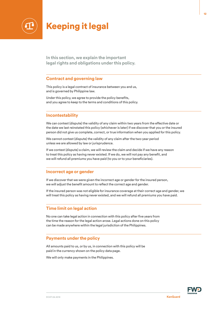

## Keeping it legal

**In this section, we explain the important legal rights and obligations under this policy.**

## **Contract and governing law**

This policy is a legal contract of insurance between you and us, and is governed by Philippine law.

Under this policy, we agree to provide the policy benefits, and you agree to keep to the terms and conditions of this policy.

## **Incontestability**

We can contest (dispute) the validity of any claim within two years from the effective date or the date we last reinstated this policy (whichever is later) if we discover that you or the insured person did not give us complete, correct, or true information when you applied for this policy.

We cannot contest (dispute) the validity of any claim after the two-year period unless we are allowed by law or jurisprudence.

If we contest (dispute) a claim, we will review the claim and decide if we have any reason to treat this policy as having never existed. If we do, we will not pay any benefit, and we will refund all premiums you have paid (to you or to your beneficiaries).

### **Incorrect age or gender**

If we discover that we were given the incorrect age or gender for the insured person, we will adjust the benefit amount to reflect the correct age and gender.

If the insured person was not eligible for insurance coverage at their correct age and gender, we will treat this policy as having never existed, and we will refund all premiums you have paid.

## **Time limit on legal action**

No one can take legal action in connection with this policy after five years from the time the reason for the legal action arose. Legal actions done on this policy can be made anywhere within the legal jurisdiction of the Philippines.

## **Payments under the policy**

All amounts paid to us, or by us, in connection with this policy will be paid in the currency shown on the policy data page.

We will only make payments in the Philippines.

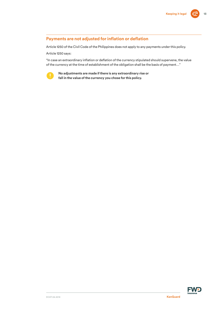## **Payments are not adjusted for inflation or deflation**

Article 1250 of the Civil Code of the Philippines does not apply to any payments under this policy.

Article 1250 says:

"In case an extraordinary inflation or deflation of the currency stipulated should supervene, the value of the currency at the time of establishment of the obligation shall be the basis of payment…"



**No adjustments are made if there is any extraordinary rise or fall in the value of the currency you chose for this policy.** 

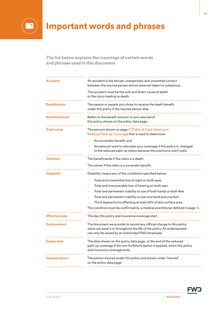

# Important words and phrases

**The list below explains the meanings of certain words and phrases used in this document.**

| Accident              | An accident is the abrupt, unexpected, and unwanted contact<br>between the insured person and an external object or substance.                                                                     |  |  |  |  |
|-----------------------|----------------------------------------------------------------------------------------------------------------------------------------------------------------------------------------------------|--|--|--|--|
|                       | The accident must be the sole and direct cause of death<br>or the injury leading to death.                                                                                                         |  |  |  |  |
| <b>Beneficiaries</b>  | The person or people you chose to receive the death benefit<br>under this policy if the insured person dies.                                                                                       |  |  |  |  |
| <b>Benefit amount</b> | Refers to the benefit amount or sum assured of<br>this policy shown on the policy data page.                                                                                                       |  |  |  |  |
| <b>Cash value</b>     | The amount shown on page 17 (Table of Cash Values and<br>Reduced Paid-up Coverage) that is used to determine:                                                                                      |  |  |  |  |
|                       | the surrender benefit; and<br>the amount used to calculate your coverage if this policy is changed<br>to the reduced paid-up status because the premiums aren't paid.                              |  |  |  |  |
| <b>Claimant</b>       | The beneficiaries if the claim is a death.                                                                                                                                                         |  |  |  |  |
|                       | The owner if the claim is a surrender benefit.                                                                                                                                                     |  |  |  |  |
| <b>Disability</b>     | Disability means any of the conditions specified below.                                                                                                                                            |  |  |  |  |
|                       | Total and irreversible loss of sight on both eyes                                                                                                                                                  |  |  |  |  |
|                       | Total and irrecoverable loss of hearing on both ears                                                                                                                                               |  |  |  |  |
|                       | Total and permanent inability to use of both hands or both feet                                                                                                                                    |  |  |  |  |
|                       | Total and permanent inability to use one hand and one foot                                                                                                                                         |  |  |  |  |
|                       | Third degree burns affecting at least 20% of skin surface area                                                                                                                                     |  |  |  |  |
|                       | The condition must be confirmed by a medical practitioner defined in page 15.                                                                                                                      |  |  |  |  |
| <b>Effective date</b> | The day this policy and insurance coverage start.                                                                                                                                                  |  |  |  |  |
| <b>Endorsement</b>    | The document we provide to record any official change to this policy<br>when we issue it or throughout the life of the policy. An endorsement<br>can only be issued by an authorized FWD employee. |  |  |  |  |
| <b>Expiry date</b>    | The date shown on the policy data page, or the end of the reduced<br>paid-up coverage if the non-forfeiture option is applied, when this policy<br>and insurance coverage ends.                    |  |  |  |  |
| <b>Insured person</b> | The person insured under this policy and shown under 'insured'<br>on the policy data page.                                                                                                         |  |  |  |  |
|                       |                                                                                                                                                                                                    |  |  |  |  |

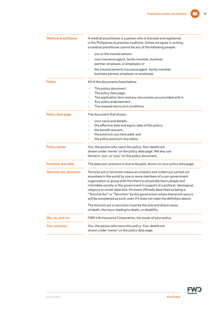| <b>Medical practitioner</b>     | A medical practitioner is a person who is licensed and registered<br>in the Philippines to practice medicine. Unless we agree in writing,<br>a medical practitioner cannot be any of the following people:                                                                                                                                                                     |  |  |  |
|---------------------------------|--------------------------------------------------------------------------------------------------------------------------------------------------------------------------------------------------------------------------------------------------------------------------------------------------------------------------------------------------------------------------------|--|--|--|
|                                 | you or the insured person;                                                                                                                                                                                                                                                                                                                                                     |  |  |  |
|                                 | your insurance agent, family member, business<br>partner, employer, or employee; or                                                                                                                                                                                                                                                                                            |  |  |  |
|                                 | the insured person's insurance agent, family member,<br>business partner, employer, or employee.                                                                                                                                                                                                                                                                               |  |  |  |
| <b>Policy</b>                   | All of the documents listed below.                                                                                                                                                                                                                                                                                                                                             |  |  |  |
|                                 | This policy document.                                                                                                                                                                                                                                                                                                                                                          |  |  |  |
|                                 | The policy data page.                                                                                                                                                                                                                                                                                                                                                          |  |  |  |
|                                 | The application form and any documents you provided with it.                                                                                                                                                                                                                                                                                                                   |  |  |  |
|                                 | Any policy endorsement.                                                                                                                                                                                                                                                                                                                                                        |  |  |  |
|                                 | The rewards terms and conditions.                                                                                                                                                                                                                                                                                                                                              |  |  |  |
| Policy data page                | The document that shows:                                                                                                                                                                                                                                                                                                                                                       |  |  |  |
|                                 | your name and details;                                                                                                                                                                                                                                                                                                                                                         |  |  |  |
|                                 | the effective date and expiry date of this policy;                                                                                                                                                                                                                                                                                                                             |  |  |  |
|                                 | the benefit amount;                                                                                                                                                                                                                                                                                                                                                            |  |  |  |
|                                 | the premium you have paid; and                                                                                                                                                                                                                                                                                                                                                 |  |  |  |
|                                 | the policy premium due dates.                                                                                                                                                                                                                                                                                                                                                  |  |  |  |
| <b>Policy owner</b>             | You, the person who owns this policy. Your details are                                                                                                                                                                                                                                                                                                                         |  |  |  |
|                                 | shown under 'owner' on the policy data page. We also use                                                                                                                                                                                                                                                                                                                       |  |  |  |
|                                 | the term 'you', or 'your' on this policy document.                                                                                                                                                                                                                                                                                                                             |  |  |  |
| <b>Premium due date</b>         | The date your premium is due to be paid, shown on your policy data page.                                                                                                                                                                                                                                                                                                       |  |  |  |
| <b>Terrorist act, terrorism</b> | Terrorist act or terrorism means an unlawful and violent act carried out<br>anywhere in the world by one or more members of a non-government<br>organization or group with the intent to physically harm people and<br>intimidate society or the government in support of a political, ideological,<br>religious or social objective. An event officially described as being a |  |  |  |
|                                 | "Terrorist Act" or "Terrorism" by the government where that event occurs                                                                                                                                                                                                                                                                                                       |  |  |  |
|                                 | will be considered as such, even if it does not meet the definition above.                                                                                                                                                                                                                                                                                                     |  |  |  |
|                                 | The terrorist act or terrorism must be the sole and direct cause                                                                                                                                                                                                                                                                                                               |  |  |  |
|                                 | of death, the injury leading to death, or disability.                                                                                                                                                                                                                                                                                                                          |  |  |  |
| We, us, and our                 | FWD Life Insurance Corporation, the issuer of your policy.                                                                                                                                                                                                                                                                                                                     |  |  |  |
| You, and your                   | You, the person who owns this policy. Your details are                                                                                                                                                                                                                                                                                                                         |  |  |  |
|                                 | shown under 'owner' on the policy data page.                                                                                                                                                                                                                                                                                                                                   |  |  |  |

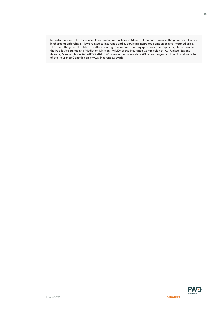Important notice: The Insurance Commission, with offices in Manila, Cebu and Davao, is the government office in charge of enforcing all laws related to insurance and supervising insurance companies and intermediaries. They help the general public in matters relating to insurance. For any questions or complaints, please contact the Public Assistance and Mediation Division (PAMD) of the Insurance Commission at 1071 United Nations Avenue, Manila. Phone +632-85238461 to 70 or email publicassistance@insurance.gov.ph. The official website of the Insurance Commission is www.insurance.gov.ph